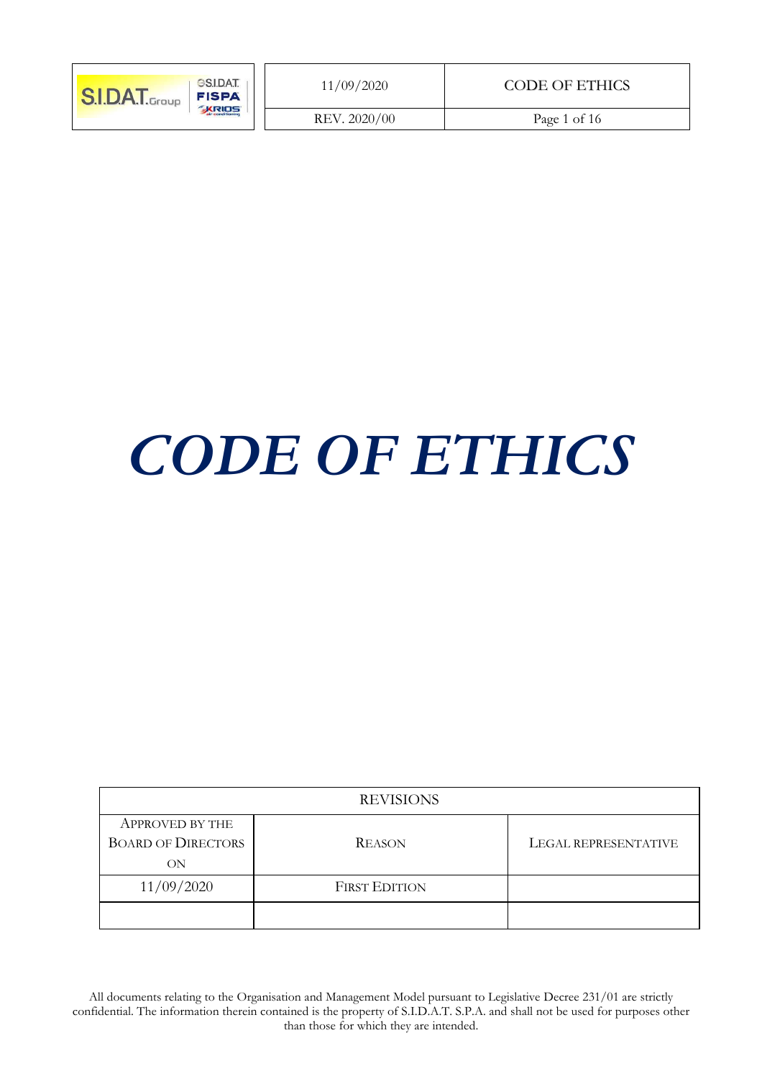| <b>GSIDAT</b><br><b>SIDAT.</b> Group<br><b>FISPA</b> | 11/09/2020   | CODE OF ETHICS |
|------------------------------------------------------|--------------|----------------|
| <b>KRIDS</b>                                         | REV. 2020/00 | Page 1 of 16   |

# *CODE OF ETHICS*

| <b>REVISIONS</b>                                          |                      |                      |  |  |
|-----------------------------------------------------------|----------------------|----------------------|--|--|
| <b>APPROVED BY THE</b><br><b>BOARD OF DIRECTORS</b><br>ON | <b>REASON</b>        | LEGAL REPRESENTATIVE |  |  |
| 11/09/2020                                                | <b>FIRST EDITION</b> |                      |  |  |
|                                                           |                      |                      |  |  |

All documents relating to the Organisation and Management Model pursuant to Legislative Decree 231/01 are strictly confidential. The information therein contained is the property of S.I.D.A.T. S.P.A. and shall not be used for purposes other than those for which they are intended.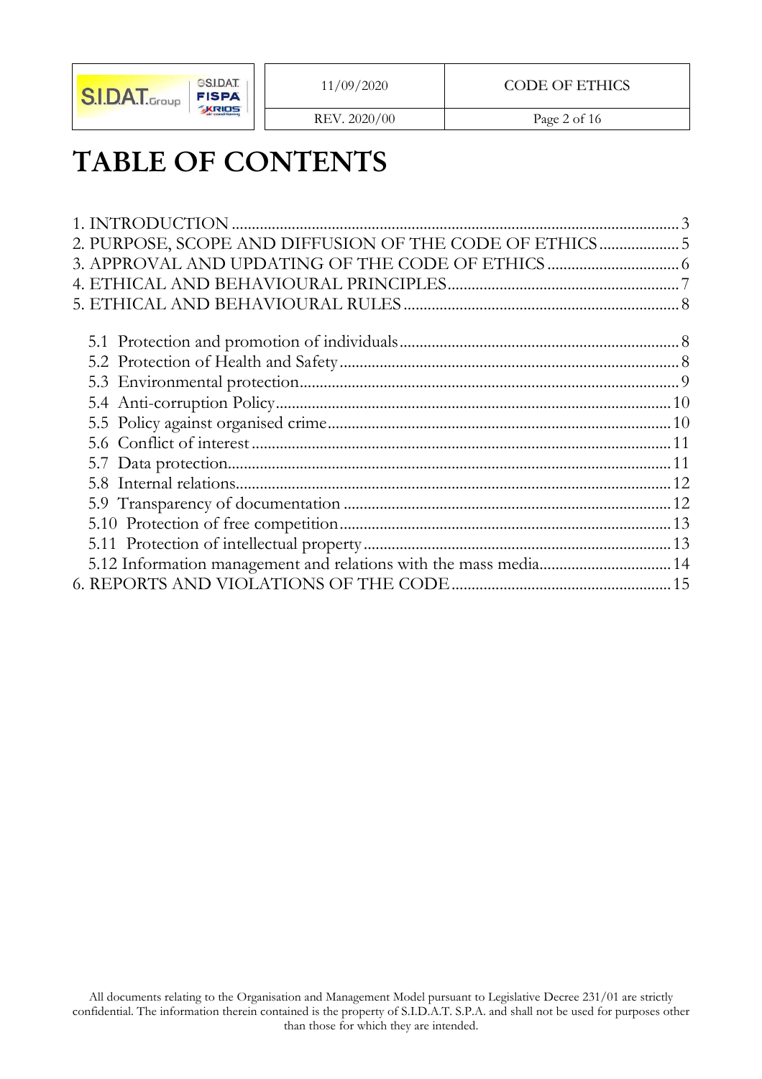

REV. 2020/00 Page 2 of 16

# **TABLE OF CONTENTS**

| 2. PURPOSE, SCOPE AND DIFFUSION OF THE CODE OF ETHICS5           |  |
|------------------------------------------------------------------|--|
|                                                                  |  |
|                                                                  |  |
|                                                                  |  |
|                                                                  |  |
|                                                                  |  |
|                                                                  |  |
|                                                                  |  |
|                                                                  |  |
|                                                                  |  |
|                                                                  |  |
|                                                                  |  |
|                                                                  |  |
|                                                                  |  |
|                                                                  |  |
| 5.12 Information management and relations with the mass media 14 |  |
|                                                                  |  |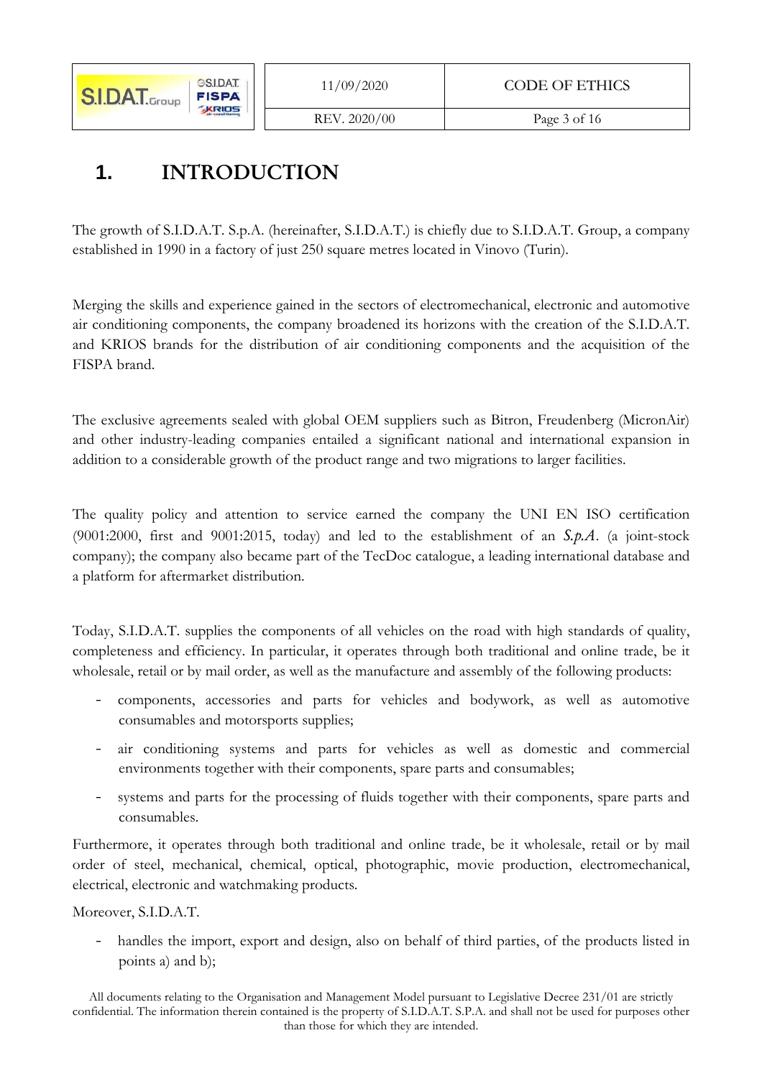#### REV. 2020/00 Page 3 of 16

# 1. **INTRODUCTION**

The growth of S.I.D.A.T. S.p.A. (hereinafter, S.I.D.A.T.) is chiefly due to S.I.D.A.T. Group, a company established in 1990 in a factory of just 250 square metres located in Vinovo (Turin).

Merging the skills and experience gained in the sectors of electromechanical, electronic and automotive air conditioning components, the company broadened its horizons with the creation of the S.I.D.A.T. and KRIOS brands for the distribution of air conditioning components and the acquisition of the FISPA brand.

The exclusive agreements sealed with global OEM suppliers such as Bitron, Freudenberg (MicronAir) and other industry-leading companies entailed a significant national and international expansion in addition to a considerable growth of the product range and two migrations to larger facilities.

The quality policy and attention to service earned the company the UNI EN ISO certification (9001:2000, first and 9001:2015, today) and led to the establishment of an *S-p-A*. (a joint-stock company); the company also became part of the TecDoc catalogue, a leading international database and a platform for aftermarket distribution.

Today, S.I.D.A.T. supplies the components of all vehicles on the road with high standards of quality, completeness and efficiency. In particular, it operates through both traditional and online trade, be it wholesale, retail or by mail order, as well as the manufacture and assembly of the following products:

- components, accessories and parts for vehicles and bodywork, as well as automotive consumables and motorsports supplies;
- air conditioning systems and parts for vehicles as well as domestic and commercial environments together with their components, spare parts and consumables;
- systems and parts for the processing of fluids together with their components, spare parts and consumables.

Furthermore, it operates through both traditional and online trade, be it wholesale, retail or by mail order of steel, mechanical, chemical, optical, photographic, movie production, electromechanical, electrical, electronic and watchmaking products.

Moreover, S.I.D.A.T.

- handles the import, export and design, also on behalf of third parties, of the products listed in points a) and b);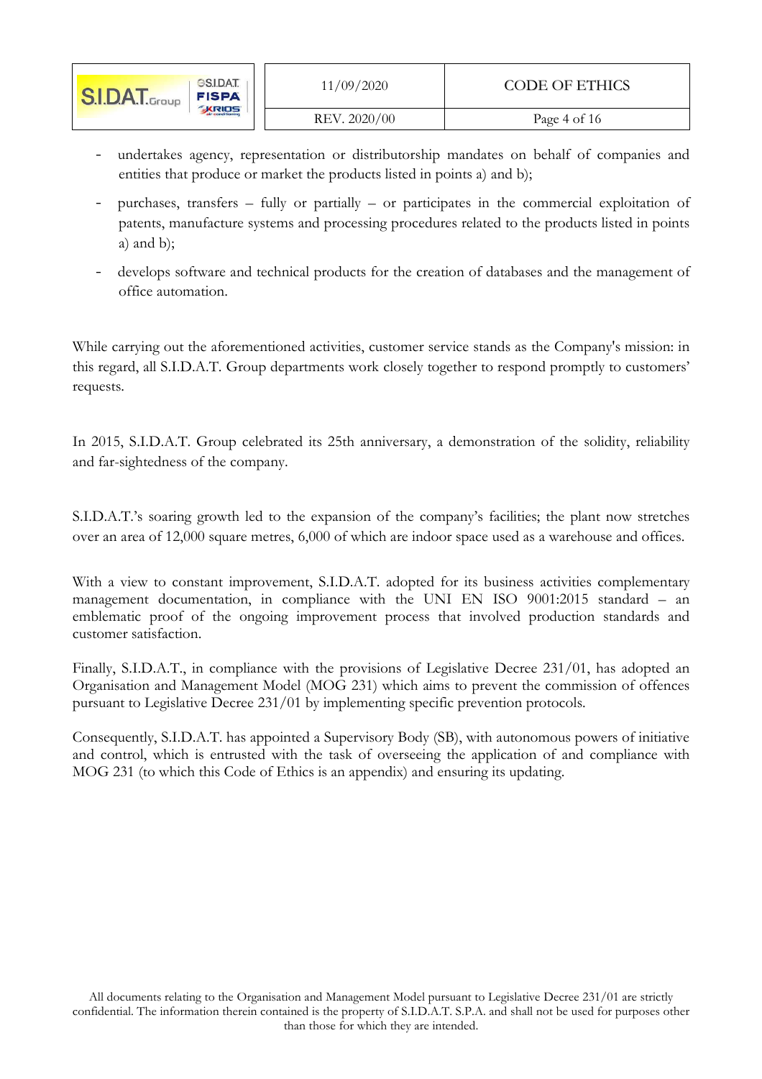| <b>GSIDAT</b><br><b>S.I.DAT.</b> Group<br><b>FISPA</b><br><b>KRIDS</b> | 11/09/2020   | CODE OF ETHICS |
|------------------------------------------------------------------------|--------------|----------------|
|                                                                        | REV. 2020/00 | Page 4 of 16   |

- undertakes agency, representation or distributorship mandates on behalf of companies and entities that produce or market the products listed in points a) and b);
- purchases, transfers fully or partially or participates in the commercial exploitation of patents, manufacture systems and processing procedures related to the products listed in points a) and b);
- develops software and technical products for the creation of databases and the management of office automation.

While carrying out the aforementioned activities, customer service stands as the Company's mission: in this regard, all S.I.D.A.T. Group departments work closely together to respond promptly to customers' requests.

In 2015, S.I.D.A.T. Group celebrated its 25th anniversary, a demonstration of the solidity, reliability and far-sightedness of the company.

S.I.D.A.T.'s soaring growth led to the expansion of the company's facilities; the plant now stretches over an area of 12,000 square metres, 6,000 of which are indoor space used as a warehouse and offices.

With a view to constant improvement, S.I.D.A.T. adopted for its business activities complementary management documentation, in compliance with the UNI EN ISO 9001:2015 standard – an emblematic proof of the ongoing improvement process that involved production standards and customer satisfaction.

Finally, S.I.D.A.T., in compliance with the provisions of Legislative Decree 231/01, has adopted an Organisation and Management Model (MOG 231) which aims to prevent the commission of offences pursuant to Legislative Decree 231/01 by implementing specific prevention protocols.

Consequently, S.I.D.A.T. has appointed a Supervisory Body (SB), with autonomous powers of initiative and control, which is entrusted with the task of overseeing the application of and compliance with MOG 231 (to which this Code of Ethics is an appendix) and ensuring its updating.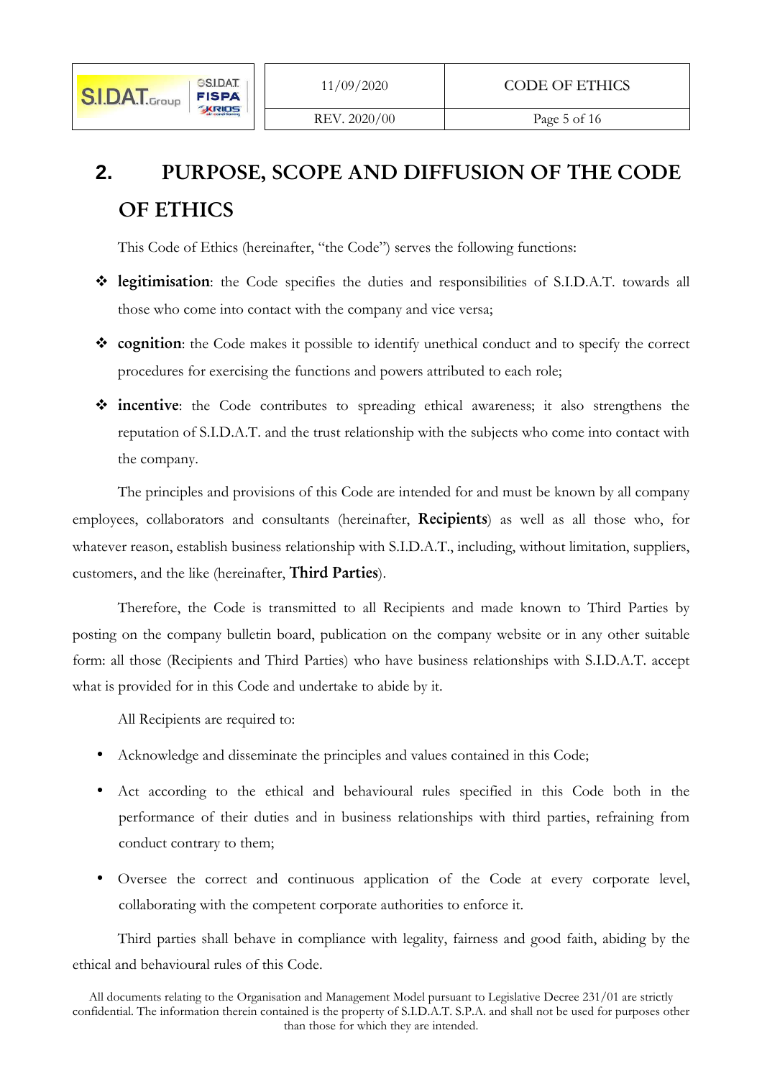

# **2.** PURPOSE, SCOPE AND DIFFUSION OF THE CODE **OF ETHICS**

This Code of Ethics (hereinafter, "the Code") serves the following functions:

- **Egitimisation**: the Code specifies the duties and responsibilities of S.I.D.A.T. towards all those who come into contact with the company and vice versa;
- $\dots$  **cognition**: the Code makes it possible to identify unethical conduct and to specify the correct procedures for exercising the functions and powers attributed to each role;
- **incentive**: the Code contributes to spreading ethical awareness; it also strengthens the reputation of S.I.D.A.T. and the trust relationship with the subjects who come into contact with the company.

The principles and provisions of this Code are intended for and must be known by all company employees, collaborators and consultants (hereinafter, **Recipiets**) as well as all those who, for whatever reason, establish business relationship with S.I.D.A.T., including, without limitation, suppliers, customers, and the like (hereinafter, **Third Parties**).

Therefore, the Code is transmitted to all Recipients and made known to Third Parties by posting on the company bulletin board, publication on the company website or in any other suitable form: all those (Recipients and Third Parties) who have business relationships with S.I.D.A.T. accept what is provided for in this Code and undertake to abide by it.

All Recipients are required to:

- Acknowledge and disseminate the principles and values contained in this Code;
- Act according to the ethical and behavioural rules specified in this Code both in the performance of their duties and in business relationships with third parties, refraining from conduct contrary to them;
- Oversee the correct and continuous application of the Code at every corporate level, collaborating with the competent corporate authorities to enforce it.

Third parties shall behave in compliance with legality, fairness and good faith, abiding by the ethical and behavioural rules of this Code.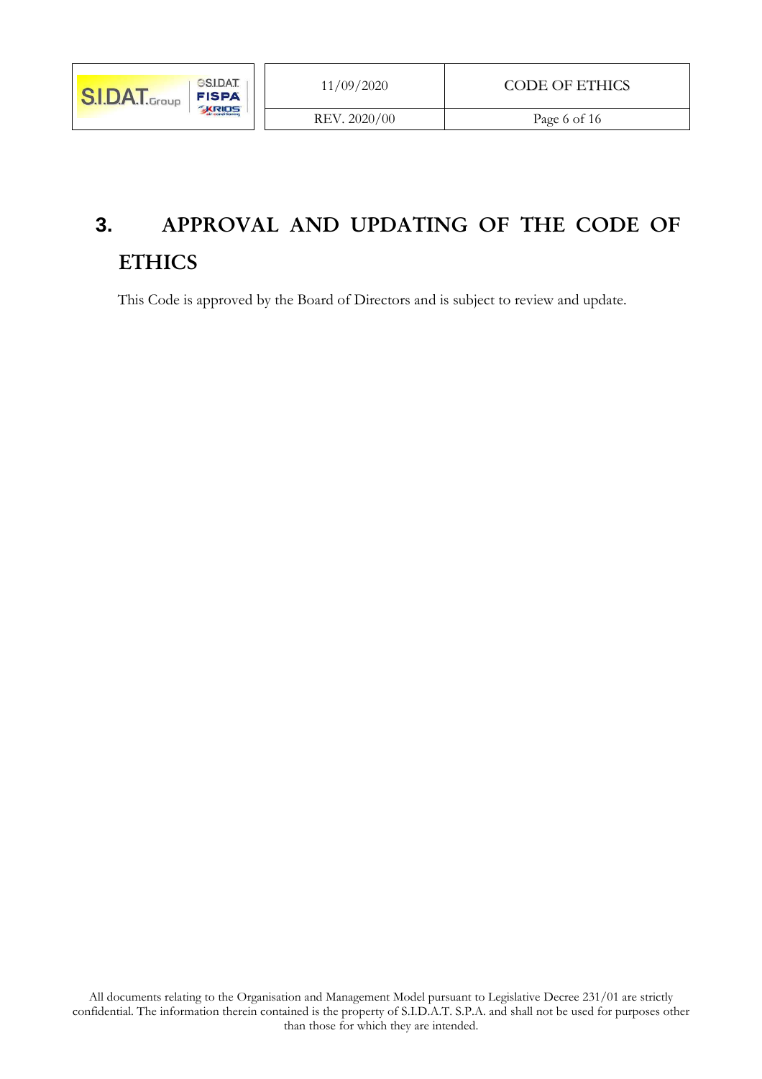# **3.** APPROVAL AND UPDATING OF THE CODE OF **ETHICS**

This Code is approved by the Board of Directors and is subject to review and update.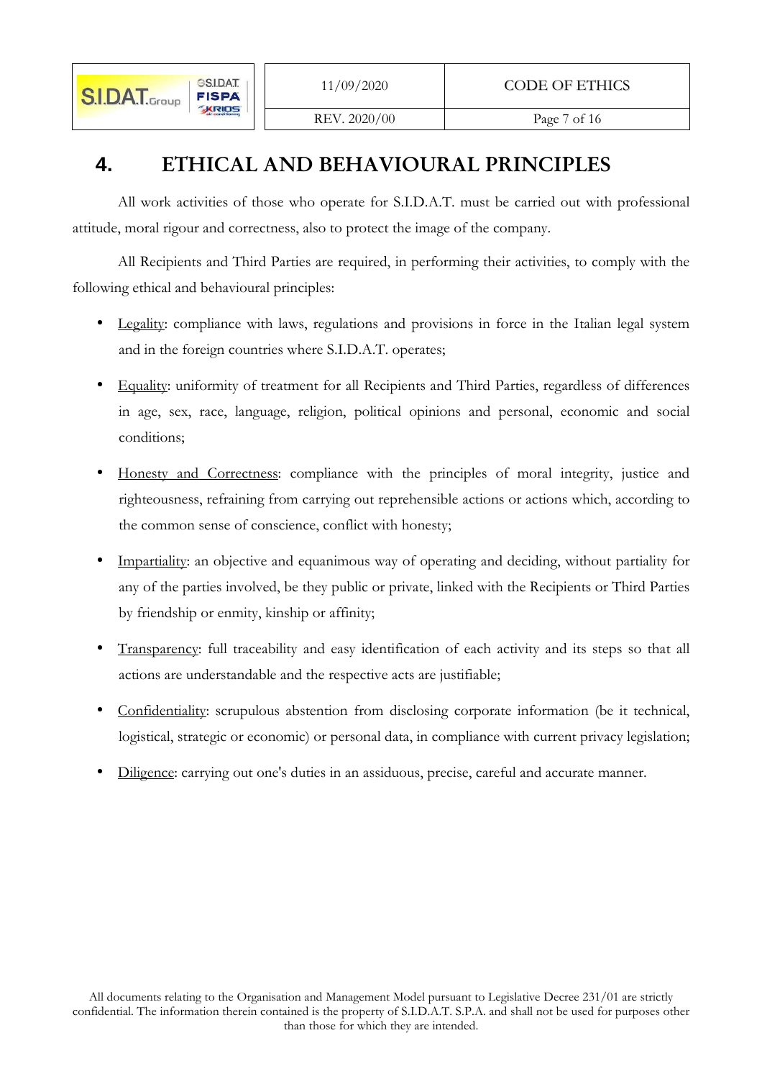# **4.** ETHICAL AND BEHAVIOURAL PRINCIPLES

All work activities of those who operate for S.I.D.A.T. must be carried out with professional attitude, moral rigour and correctness, also to protect the image of the company.

All Recipients and Third Parties are required, in performing their activities, to comply with the following ethical and behavioural principles:

- Legality: compliance with laws, regulations and provisions in force in the Italian legal system and in the foreign countries where S.I.D.A.T. operates;
- Equality: uniformity of treatment for all Recipients and Third Parties, regardless of differences in age, sex, race, language, religion, political opinions and personal, economic and social conditions;
- Honesty and Correctness: compliance with the principles of moral integrity, justice and righteousness, refraining from carrying out reprehensible actions or actions which, according to the common sense of conscience, conflict with honesty;
- Impartiality: an objective and equanimous way of operating and deciding, without partiality for any of the parties involved, be they public or private, linked with the Recipients or Third Parties by friendship or enmity, kinship or affinity;
- Transparency: full traceability and easy identification of each activity and its steps so that all actions are understandable and the respective acts are justifiable;
- Confidentiality: scrupulous abstention from disclosing corporate information (be it technical, logistical, strategic or economic) or personal data, in compliance with current privacy legislation;
- Diligence: carrying out one's duties in an assiduous, precise, careful and accurate manner.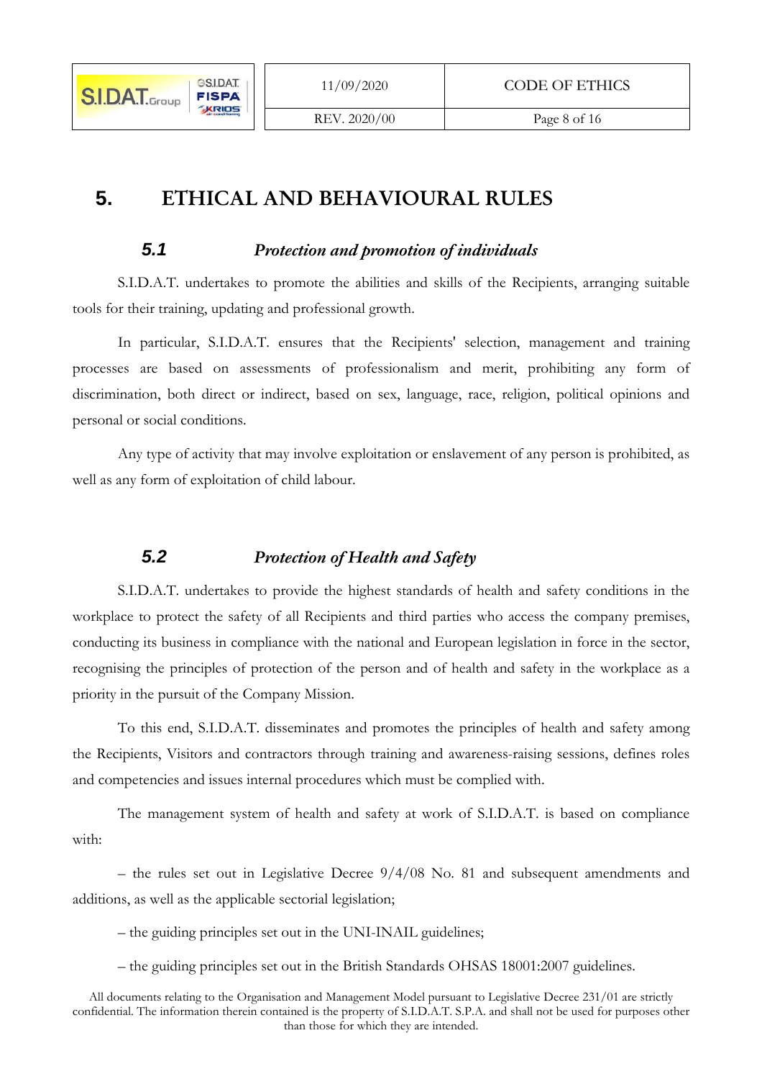# **5. ETHICAL AND BEHAVIOURAL RULES**

## **5.1** *Protection and promotion of individuals*

S.I.D.A.T. undertakes to promote the abilities and skills of the Recipients, arranging suitable tools for their training, updating and professional growth.

In particular, S.I.D.A.T. ensures that the Recipients' selection, management and training processes are based on assessments of professionalism and merit, prohibiting any form of discrimination, both direct or indirect, based on sex, language, race, religion, political opinions and personal or social conditions.

Any type of activity that may involve exploitation or enslavement of any person is prohibited, as well as any form of exploitation of child labour.

# **5.2** *Protection of Health and Safety*

S.I.D.A.T. undertakes to provide the highest standards of health and safety conditions in the workplace to protect the safety of all Recipients and third parties who access the company premises, conducting its business in compliance with the national and European legislation in force in the sector, recognising the principles of protection of the person and of health and safety in the workplace as a priority in the pursuit of the Company Mission.

To this end, S.I.D.A.T. disseminates and promotes the principles of health and safety among the Recipients, Visitors and contractors through training and awareness-raising sessions, defines roles and competencies and issues internal procedures which must be complied with.

The management system of health and safety at work of S.I.D.A.T. is based on compliance with:

– the rules set out in Legislative Decree 9/4/08 No. 81 and subsequent amendments and additions, as well as the applicable sectorial legislation;

– the guiding principles set out in the UNI-INAIL guidelines;

– the guiding principles set out in the British Standards OHSAS 18001:2007 guidelines.

All documents relating to the Organisation and Management Model pursuant to Legislative Decree 231/01 are strictly confidential. The information therein contained is the property of S.I.D.A.T. S.P.A. and shall not be used for purposes other than those for which they are intended.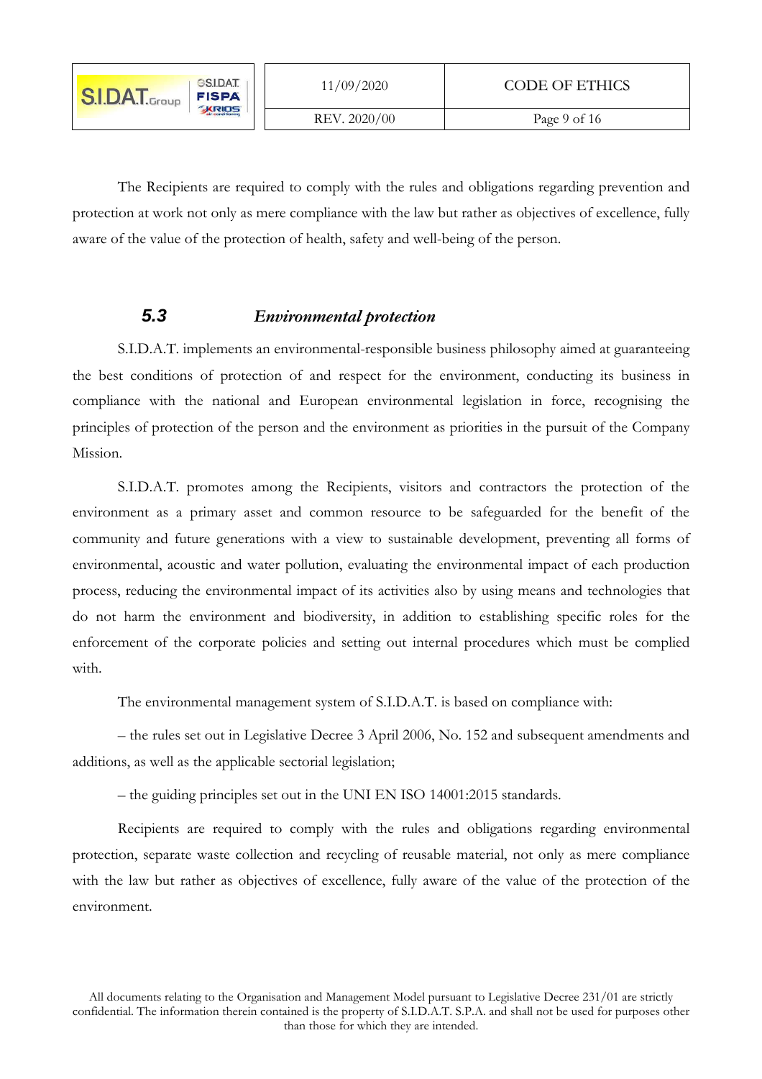| <b>GSIDAT</b><br><b>SI.DAT.</b> Group<br><b>FISPA</b> | 11/09/2020   | <b>CODE OF ETHICS</b> |
|-------------------------------------------------------|--------------|-----------------------|
| <b>KRIDS</b>                                          | REV. 2020/00 | Page 9 of 16          |

The Recipients are required to comply with the rules and obligations regarding prevention and protection at work not only as mere compliance with the law but rather as objectives of excellence, fully aware of the value of the protection of health, safety and well-being of the person.

# **5.3** *Environmental protection*

S.I.D.A.T. implements an environmental-responsible business philosophy aimed at guaranteeing the best conditions of protection of and respect for the environment, conducting its business in compliance with the national and European environmental legislation in force, recognising the principles of protection of the person and the environment as priorities in the pursuit of the Company Mission.

S.I.D.A.T. promotes among the Recipients, visitors and contractors the protection of the environment as a primary asset and common resource to be safeguarded for the benefit of the community and future generations with a view to sustainable development, preventing all forms of environmental, acoustic and water pollution, evaluating the environmental impact of each production process, reducing the environmental impact of its activities also by using means and technologies that do not harm the environment and biodiversity, in addition to establishing specific roles for the enforcement of the corporate policies and setting out internal procedures which must be complied with.

The environmental management system of S.I.D.A.T. is based on compliance with:

– the rules set out in Legislative Decree 3 April 2006, No. 152 and subsequent amendments and additions, as well as the applicable sectorial legislation;

– the guiding principles set out in the UNI EN ISO 14001:2015 standards.

Recipients are required to comply with the rules and obligations regarding environmental protection, separate waste collection and recycling of reusable material, not only as mere compliance with the law but rather as objectives of excellence, fully aware of the value of the protection of the environment.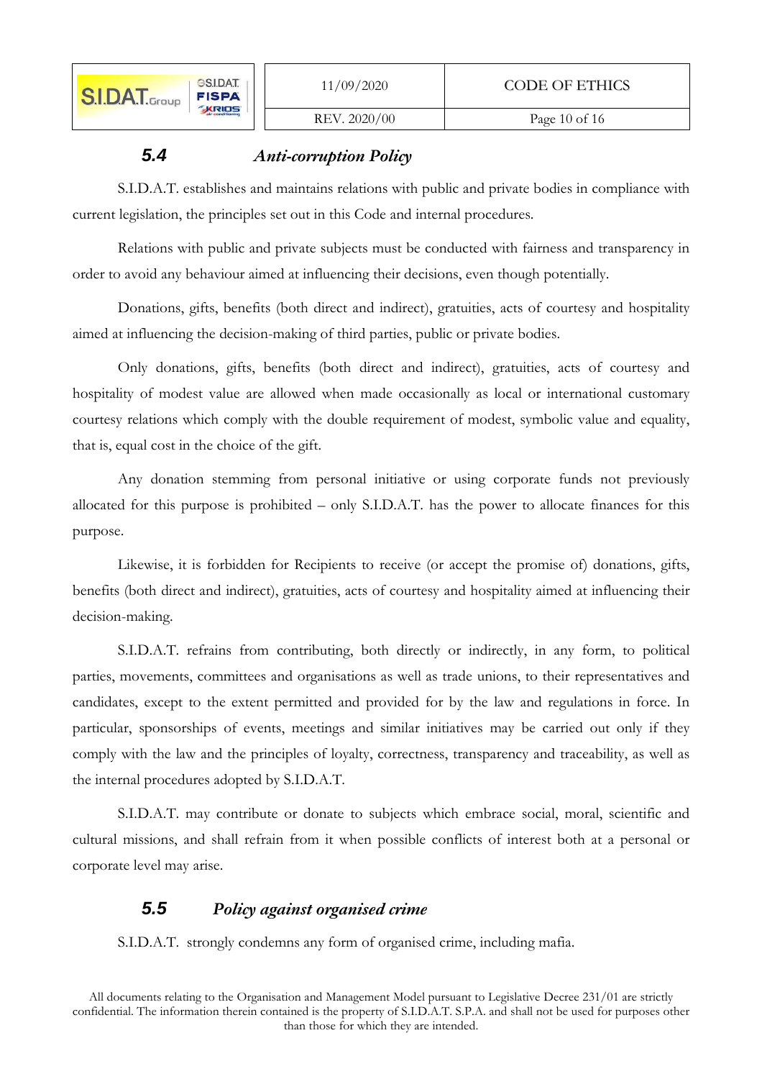#### REV. 2020/00 Page 10 of 16

# **5.4** *Anti-corruption Policy*

S.I.D.A.T. establishes and maintains relations with public and private bodies in compliance with current legislation, the principles set out in this Code and internal procedures.

Relations with public and private subjects must be conducted with fairness and transparency in order to avoid any behaviour aimed at influencing their decisions, even though potentially.

Donations, gifts, benefits (both direct and indirect), gratuities, acts of courtesy and hospitality aimed at influencing the decision-making of third parties, public or private bodies.

Only donations, gifts, benefits (both direct and indirect), gratuities, acts of courtesy and hospitality of modest value are allowed when made occasionally as local or international customary courtesy relations which comply with the double requirement of modest, symbolic value and equality, that is, equal cost in the choice of the gift.

Any donation stemming from personal initiative or using corporate funds not previously allocated for this purpose is prohibited – only S.I.D.A.T. has the power to allocate finances for this purpose.

Likewise, it is forbidden for Recipients to receive (or accept the promise of) donations, gifts, benefits (both direct and indirect), gratuities, acts of courtesy and hospitality aimed at influencing their decision-making.

S.I.D.A.T. refrains from contributing, both directly or indirectly, in any form, to political parties, movements, committees and organisations as well as trade unions, to their representatives and candidates, except to the extent permitted and provided for by the law and regulations in force. In particular, sponsorships of events, meetings and similar initiatives may be carried out only if they comply with the law and the principles of loyalty, correctness, transparency and traceability, as well as the internal procedures adopted by S.I.D.A.T.

S.I.D.A.T. may contribute or donate to subjects which embrace social, moral, scientific and cultural missions, and shall refrain from it when possible conflicts of interest both at a personal or corporate level may arise.

# **5.5** *Policy against organised crime*

S.I.D.A.T. strongly condemns any form of organised crime, including mafia.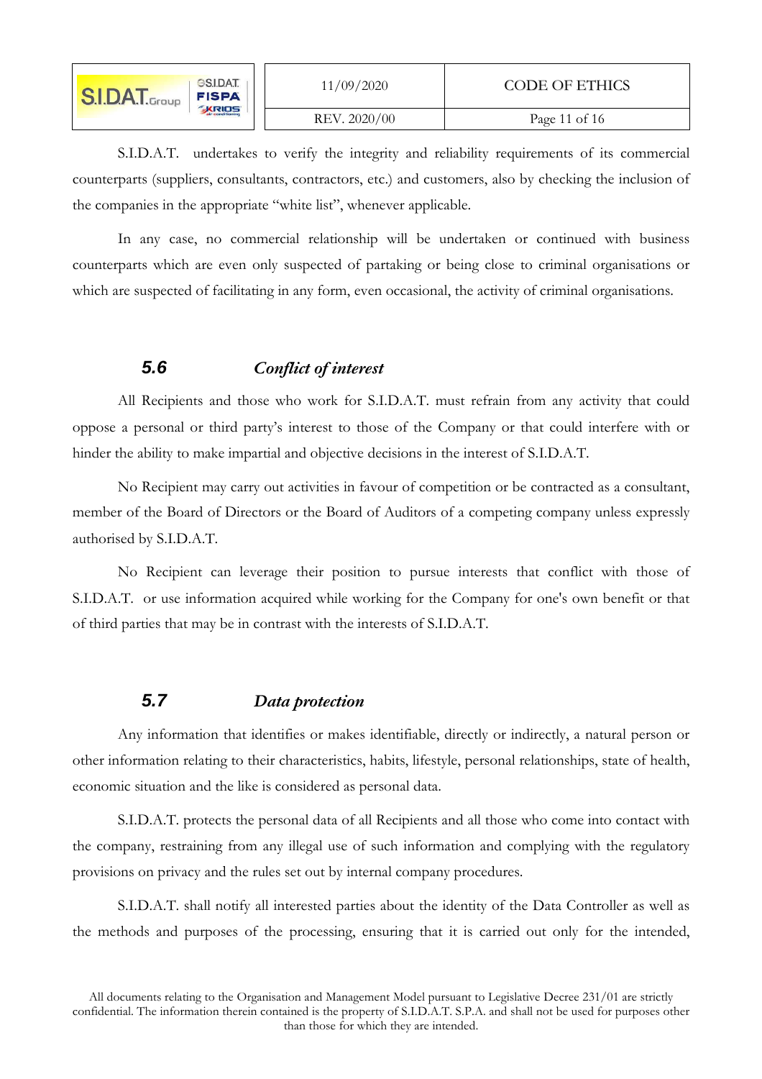| <b>GSIDAT</b><br><b>S.I.D.A.T.</b> Group<br><b>FISPA</b><br><b>KRIDS</b> | 11/09/2020   | CODE OF ETHICS |
|--------------------------------------------------------------------------|--------------|----------------|
|                                                                          | REV. 2020/00 | Page 11 of 16  |

S.I.D.A.T. undertakes to verify the integrity and reliability requirements of its commercial counterparts (suppliers, consultants, contractors, etc.) and customers, also by checking the inclusion of the companies in the appropriate "white list", whenever applicable.

In any case, no commercial relationship will be undertaken or continued with business counterparts which are even only suspected of partaking or being close to criminal organisations or which are suspected of facilitating in any form, even occasional, the activity of criminal organisations.

## **5.6** *Conflict of interest*

All Recipients and those who work for S.I.D.A.T. must refrain from any activity that could oppose a personal or third party's interest to those of the Company or that could interfere with or hinder the ability to make impartial and objective decisions in the interest of S.I.D.A.T.

No Recipient may carry out activities in favour of competition or be contracted as a consultant, member of the Board of Directors or the Board of Auditors of a competing company unless expressly authorised by S.I.D.A.T.

No Recipient can leverage their position to pursue interests that conflict with those of S.I.D.A.T. or use information acquired while working for the Company for one's own benefit or that of third parties that may be in contrast with the interests of S.I.D.A.T.

#### **5.7** *Data protection*

Any information that identifies or makes identifiable, directly or indirectly, a natural person or other information relating to their characteristics, habits, lifestyle, personal relationships, state of health, economic situation and the like is considered as personal data.

S.I.D.A.T. protects the personal data of all Recipients and all those who come into contact with the company, restraining from any illegal use of such information and complying with the regulatory provisions on privacy and the rules set out by internal company procedures.

S.I.D.A.T. shall notify all interested parties about the identity of the Data Controller as well as the methods and purposes of the processing, ensuring that it is carried out only for the intended,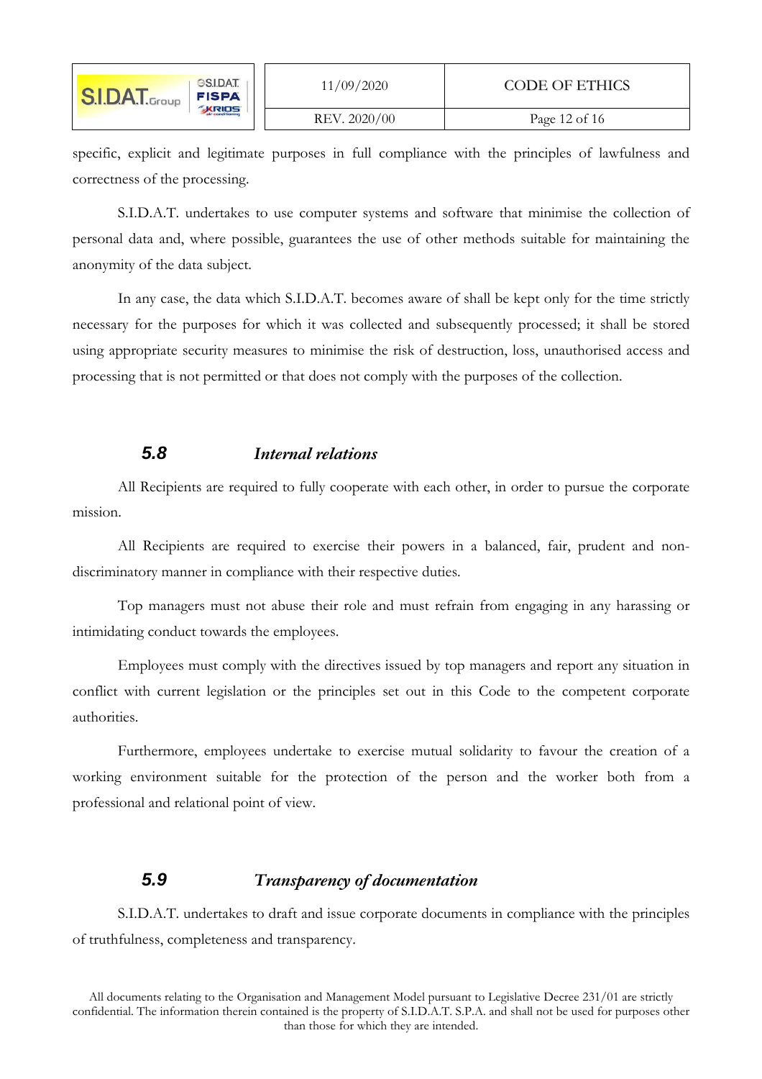| <b>GSIDAT</b><br><b>S.I.D.A.T.</b> Group<br><b>FISPA</b> | 11/09/2020   | CODE OF ETHICS |
|----------------------------------------------------------|--------------|----------------|
| <b>KRIDS</b>                                             | REV. 2020/00 | Page 12 of 16  |

specific, explicit and legitimate purposes in full compliance with the principles of lawfulness and correctness of the processing.

S.I.D.A.T. undertakes to use computer systems and software that minimise the collection of personal data and, where possible, guarantees the use of other methods suitable for maintaining the anonymity of the data subject.

In any case, the data which S.I.D.A.T. becomes aware of shall be kept only for the time strictly necessary for the purposes for which it was collected and subsequently processed; it shall be stored using appropriate security measures to minimise the risk of destruction, loss, unauthorised access and processing that is not permitted or that does not comply with the purposes of the collection.

#### **5.8** *Internal relations*

All Recipients are required to fully cooperate with each other, in order to pursue the corporate mission.

All Recipients are required to exercise their powers in a balanced, fair, prudent and nondiscriminatory manner in compliance with their respective duties.

Top managers must not abuse their role and must refrain from engaging in any harassing or intimidating conduct towards the employees.

Employees must comply with the directives issued by top managers and report any situation in conflict with current legislation or the principles set out in this Code to the competent corporate authorities.

Furthermore, employees undertake to exercise mutual solidarity to favour the creation of a working environment suitable for the protection of the person and the worker both from a professional and relational point of view.

## **5.9** *Transparency of documentation*

S.I.D.A.T. undertakes to draft and issue corporate documents in compliance with the principles of truthfulness, completeness and transparency.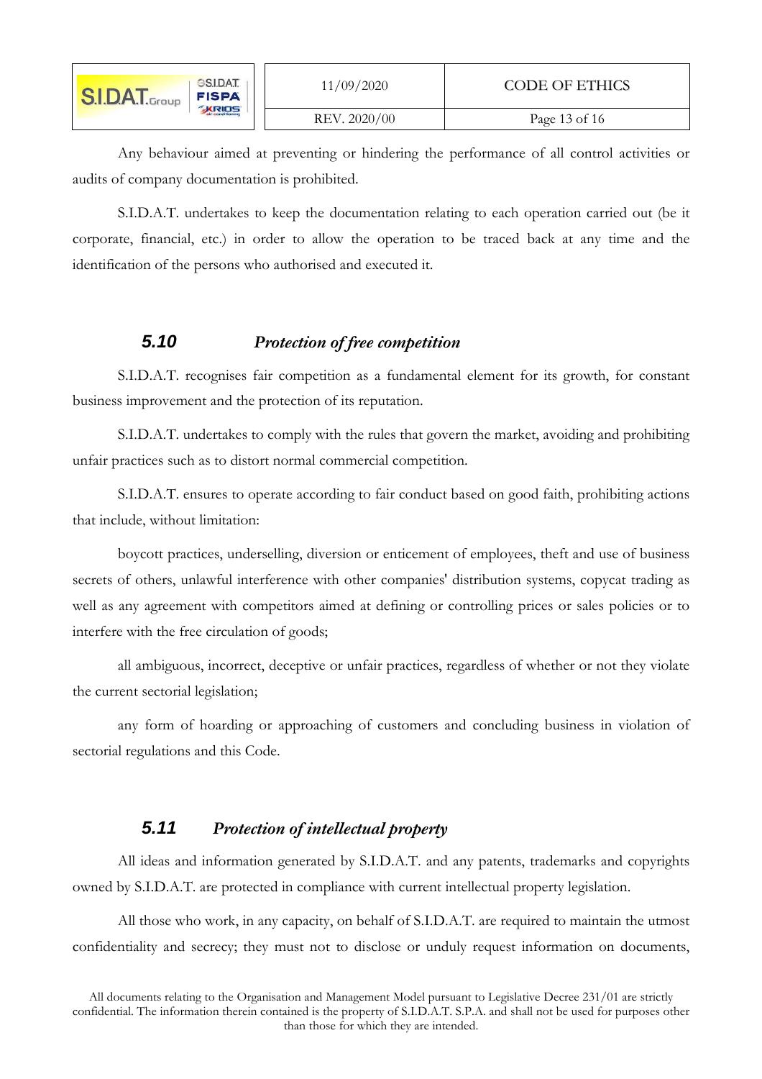| <b>GSIDAT</b><br><b>SI.DAT.</b> Group<br><b>FISPA</b> | 11/09/2020   | <b>CODE OF ETHICS</b> |
|-------------------------------------------------------|--------------|-----------------------|
| <b>KRIDS</b>                                          | REV. 2020/00 | Page 13 of 16         |

Any behaviour aimed at preventing or hindering the performance of all control activities or audits of company documentation is prohibited.

S.I.D.A.T. undertakes to keep the documentation relating to each operation carried out (be it corporate, financial, etc.) in order to allow the operation to be traced back at any time and the identification of the persons who authorised and executed it.

# **5.10** *Protection of free competition*

S.I.D.A.T. recognises fair competition as a fundamental element for its growth, for constant business improvement and the protection of its reputation.

S.I.D.A.T. undertakes to comply with the rules that govern the market, avoiding and prohibiting unfair practices such as to distort normal commercial competition.

S.I.D.A.T. ensures to operate according to fair conduct based on good faith, prohibiting actions that include, without limitation:

boycott practices, underselling, diversion or enticement of employees, theft and use of business secrets of others, unlawful interference with other companies' distribution systems, copycat trading as well as any agreement with competitors aimed at defining or controlling prices or sales policies or to interfere with the free circulation of goods;

all ambiguous, incorrect, deceptive or unfair practices, regardless of whether or not they violate the current sectorial legislation;

any form of hoarding or approaching of customers and concluding business in violation of sectorial regulations and this Code.

## **5.11** *Protection of intellectual property*

All ideas and information generated by S.I.D.A.T. and any patents, trademarks and copyrights owned by S.I.D.A.T. are protected in compliance with current intellectual property legislation.

All those who work, in any capacity, on behalf of S.I.D.A.T. are required to maintain the utmost confidentiality and secrecy; they must not to disclose or unduly request information on documents,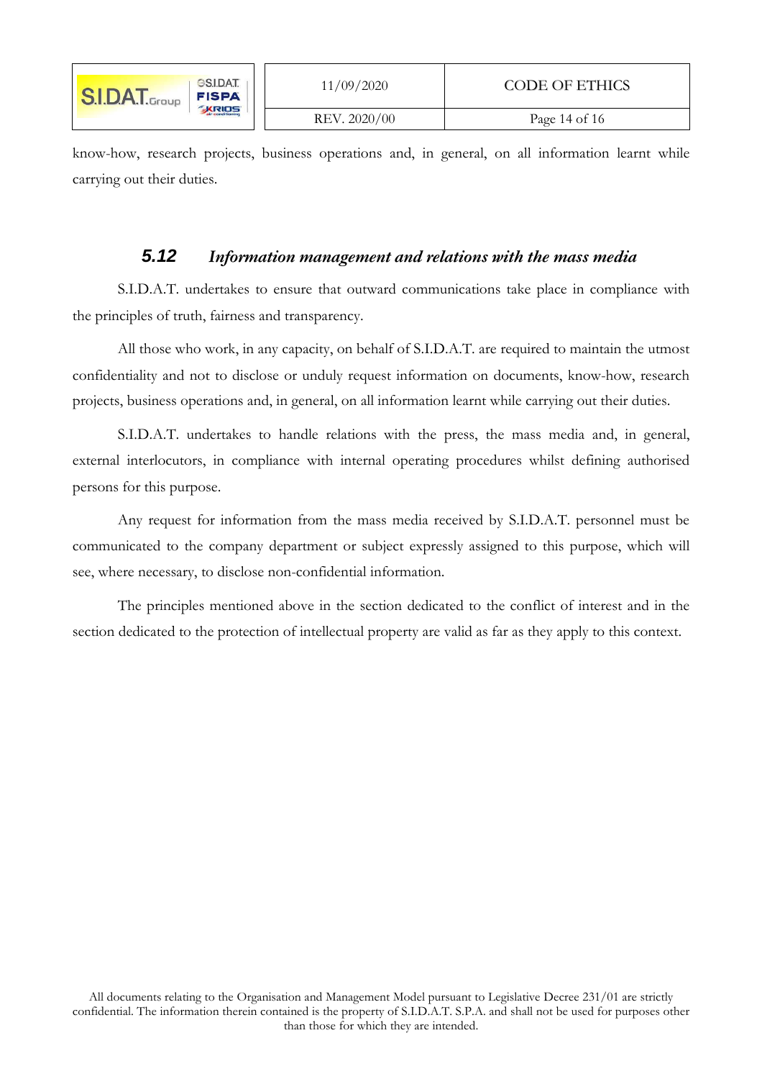| <b>GSIDAT</b><br><b>S.I.DAT.</b> Group<br><b>FISPA</b><br><b>KRIDS</b> | 11/09/2020 | CODE OF ETHICS |
|------------------------------------------------------------------------|------------|----------------|
|                                                                        |            | REV. 2020/00   |

know-how, research projects, business operations and, in general, on all information learnt while carrying out their duties.

#### **5.12** *Information management and relations with the mass media*

S.I.D.A.T. undertakes to ensure that outward communications take place in compliance with the principles of truth, fairness and transparency.

All those who work, in any capacity, on behalf of S.I.D.A.T. are required to maintain the utmost confidentiality and not to disclose or unduly request information on documents, know-how, research projects, business operations and, in general, on all information learnt while carrying out their duties.

S.I.D.A.T. undertakes to handle relations with the press, the mass media and, in general, external interlocutors, in compliance with internal operating procedures whilst defining authorised persons for this purpose.

Any request for information from the mass media received by S.I.D.A.T. personnel must be communicated to the company department or subject expressly assigned to this purpose, which will see, where necessary, to disclose non-confidential information.

The principles mentioned above in the section dedicated to the conflict of interest and in the section dedicated to the protection of intellectual property are valid as far as they apply to this context.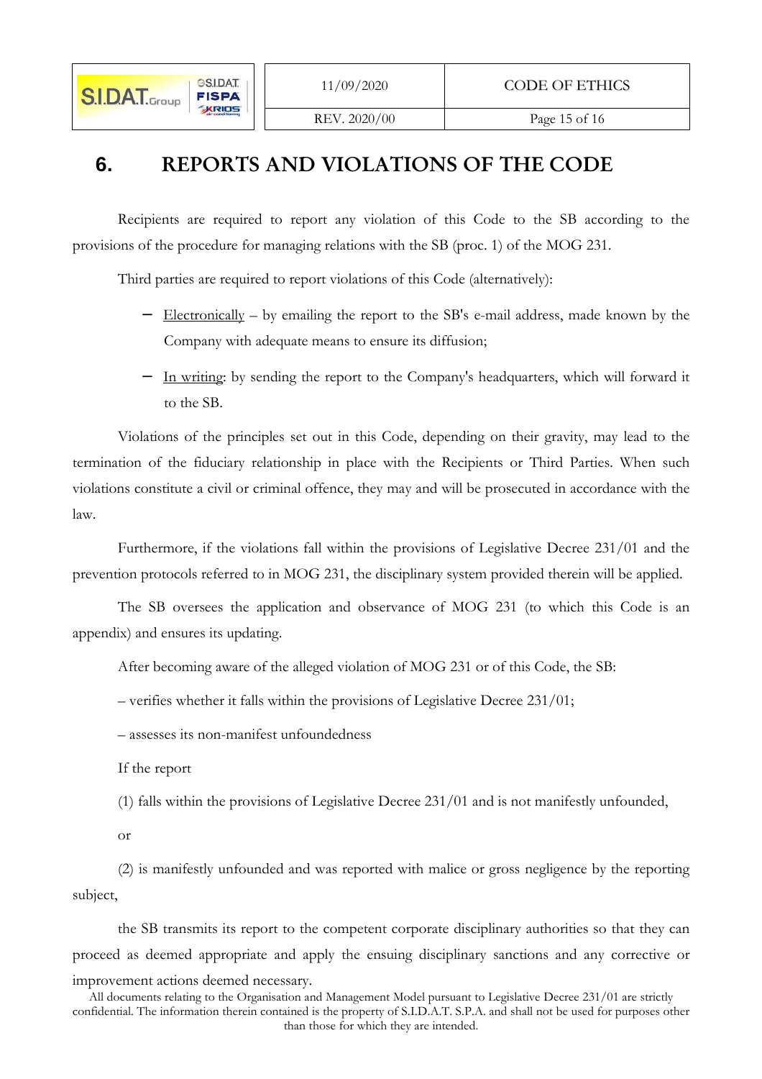#### REV. 2020/00 Page 15 of 16

# **6.** REPORTS AND VIOLATIONS OF THE CODE

Recipients are required to report any violation of this Code to the SB according to the provisions of the procedure for managing relations with the SB (proc. 1) of the MOG 231.

Third parties are required to report violations of this Code (alternatively):

- − Electronically by emailing the report to the SB's e-mail address, made known by the Company with adequate means to ensure its diffusion;
- − In writing: by sending the report to the Company's headquarters, which will forward it to the SB.

Violations of the principles set out in this Code, depending on their gravity, may lead to the termination of the fiduciary relationship in place with the Recipients or Third Parties. When such violations constitute a civil or criminal offence, they may and will be prosecuted in accordance with the law.

Furthermore, if the violations fall within the provisions of Legislative Decree 231/01 and the prevention protocols referred to in MOG 231, the disciplinary system provided therein will be applied.

The SB oversees the application and observance of MOG 231 (to which this Code is an appendix) and ensures its updating.

After becoming aware of the alleged violation of MOG 231 or of this Code, the SB:

– verifies whether it falls within the provisions of Legislative Decree 231/01;

– assesses its non-manifest unfoundedness

If the report

(1) falls within the provisions of Legislative Decree 231/01 and is not manifestly unfounded,

or

(2) is manifestly unfounded and was reported with malice or gross negligence by the reporting subject,

the SB transmits its report to the competent corporate disciplinary authorities so that they can proceed as deemed appropriate and apply the ensuing disciplinary sanctions and any corrective or improvement actions deemed necessary.

All documents relating to the Organisation and Management Model pursuant to Legislative Decree 231/01 are strictly confidential. The information therein contained is the property of S.I.D.A.T. S.P.A. and shall not be used for purposes other than those for which they are intended.